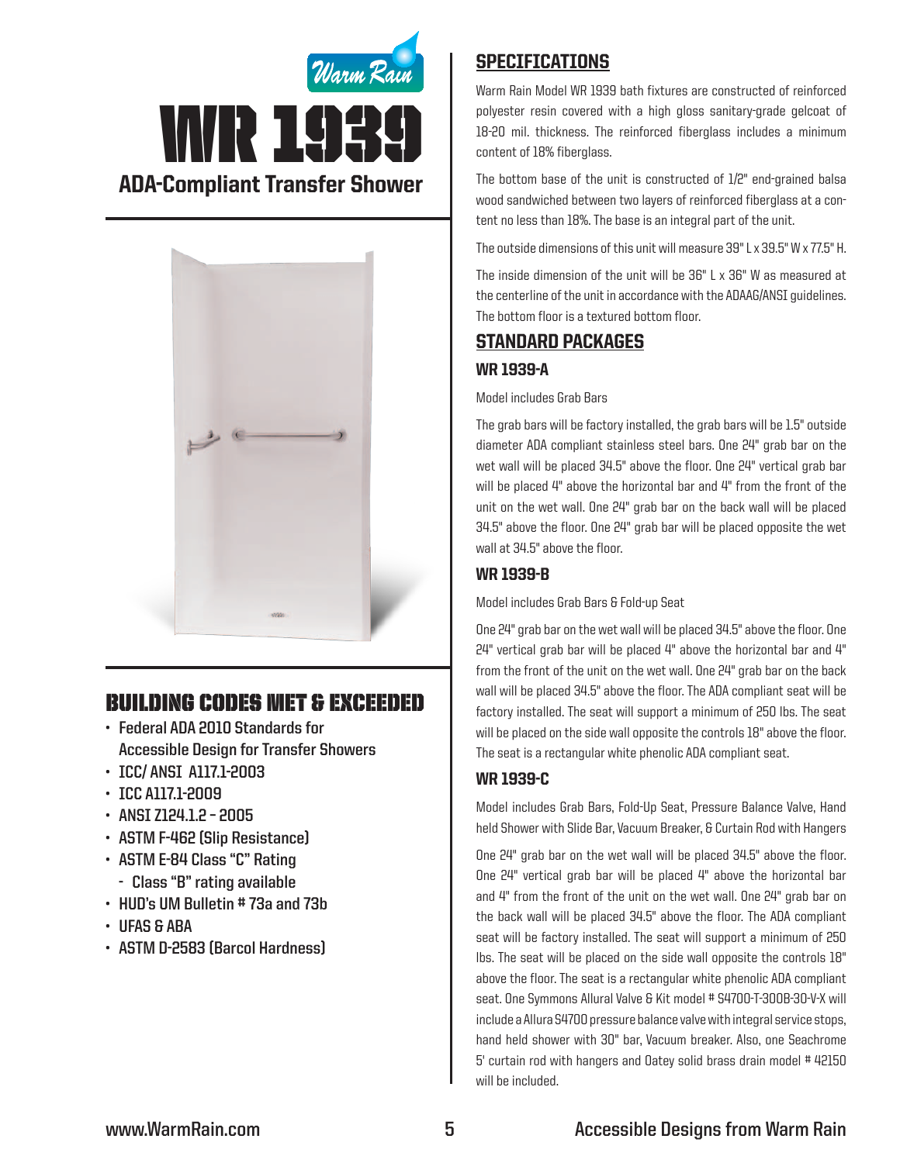



# Building Codes Met & EXCEEDED

- **• Federal ADA 2010 Standards for Accessible Design for Transfer Showers**
- **• ICC/ ANSI A117.1-2003**
- **• ICC A117.1-2009**
- **• ANSI Z124.1.2 – 2005**
- **• ASTM F-462 (Slip Resistance)**
- **• ASTM E-84 Class "C" Rating - Class "B" rating available**
- **• HUD's UM Bulletin # 73a and 73b**
- **• UFAS & ABA**
- **• ASTM D-2583 (Barcol Hardness)**

# **SPECIFICATIONS**

Warm Rain Model WR 1939 bath fixtures are constructed of reinforced polyester resin covered with a high gloss sanitary-grade gelcoat of 18-20 mil. thickness. The reinforced fiberglass includes a minimum content of 18% fiberglass.

The bottom base of the unit is constructed of 1/2" end-grained balsa wood sandwiched between two layers of reinforced fiberglass at a content no less than 18%. The base is an integral part of the unit.

The outside dimensions of this unit will measure 39" L x 39.5" W x 77.5" H.

The inside dimension of the unit will be 36" L x 36" W as measured at the centerline of the unit in accordance with the ADAAG/ANSI guidelines. The bottom floor is a textured bottom floor.

# Standard packages

## WR 1939-A

### Model includes Grab Bars

The grab bars will be factory installed, the grab bars will be 1.5" outside diameter ADA compliant stainless steel bars. One 24" grab bar on the wet wall will be placed 34.5" above the floor. One 24" vertical grab bar will be placed 4" above the horizontal bar and 4" from the front of the unit on the wet wall. One 24" grab bar on the back wall will be placed 34.5" above the floor. One 24" grab bar will be placed opposite the wet wall at 34.5" above the floor.

## WR 1939-B

Model includes Grab Bars & Fold-up Seat

One 24" grab bar on the wet wall will be placed 34.5" above the floor. One  $24$ " vertical grab bar will be placed  $4$ " above the horizontal bar and  $4$ " from the front of the unit on the wet wall. One 24" grab bar on the back wall will be placed 34.5" above the floor. The ADA compliant seat will be factory installed. The seat will support a minimum of 250 lbs. The seat will be placed on the side wall opposite the controls 18" above the floor. The seat is a rectangular white phenolic ADA compliant seat.

## WR 1939-C

Model includes Grab Bars, Fold-Up Seat, Pressure Balance Valve, Hand held Shower with Slide Bar, Vacuum Breaker, & Curtain Rod with Hangers

One 24" grab bar on the wet wall will be placed 34.5" above the floor. One 24" vertical grab bar will be placed 4" above the horizontal bar and 4" from the front of the unit on the wet wall. One 24" grab bar on the back wall will be placed 34.5" above the floor. The ADA compliant seat will be factory installed. The seat will support a minimum of 250 lbs. The seat will be placed on the side wall opposite the controls 18" above the floor. The seat is a rectangular white phenolic ADA compliant seat. One Symmons Allural Valve & Kit model # S4700-T-300B-30-V-X will include a Allura S4700 pressure balance valve with integral service stops, hand held shower with 30" bar, Vacuum breaker. Also, one Seachrome 5' curtain rod with hangers and Oatey solid brass drain model # 42150 will be included.